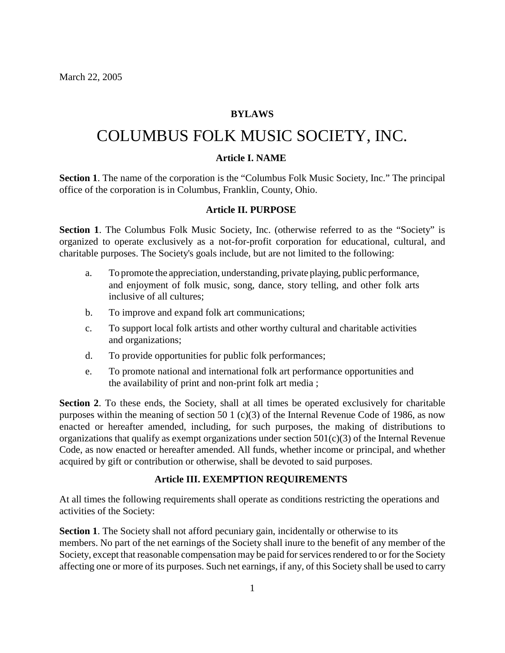### **BYLAWS**

# COLUMBUS FOLK MUSIC SOCIETY, INC.

#### **Article I. NAME**

**Section 1**. The name of the corporation is the "Columbus Folk Music Society, Inc." The principal office of the corporation is in Columbus, Franklin, County, Ohio.

## **Article II. PURPOSE**

Section 1. The Columbus Folk Music Society, Inc. (otherwise referred to as the "Society" is organized to operate exclusively as a not-for-profit corporation for educational, cultural, and charitable purposes. The Society's goals include, but are not limited to the following:

- a. To promote the appreciation, understanding, private playing, public performance, and enjoyment of folk music, song, dance, story telling, and other folk arts inclusive of all cultures;
- b. To improve and expand folk art communications;
- c. To support local folk artists and other worthy cultural and charitable activities and organizations;
- d. To provide opportunities for public folk performances;
- e. To promote national and international folk art performance opportunities and the availability of print and non-print folk art media ;

Section 2. To these ends, the Society, shall at all times be operated exclusively for charitable purposes within the meaning of section 50 1 (c)(3) of the Internal Revenue Code of 1986, as now enacted or hereafter amended, including, for such purposes, the making of distributions to organizations that qualify as exempt organizations under section  $501(c)(3)$  of the Internal Revenue Code, as now enacted or hereafter amended. All funds, whether income or principal, and whether acquired by gift or contribution or otherwise, shall be devoted to said purposes.

#### **Article III. EXEMPTION REQUIREMENTS**

At all times the following requirements shall operate as conditions restricting the operations and activities of the Society:

**Section 1**. The Society shall not afford pecuniary gain, incidentally or otherwise to its members. No part of the net earnings of the Society shall inure to the benefit of any member of the Society, except that reasonable compensation may be paid for services rendered to or for the Society affecting one or more of its purposes. Such net earnings, if any, of this Society shall be used to carry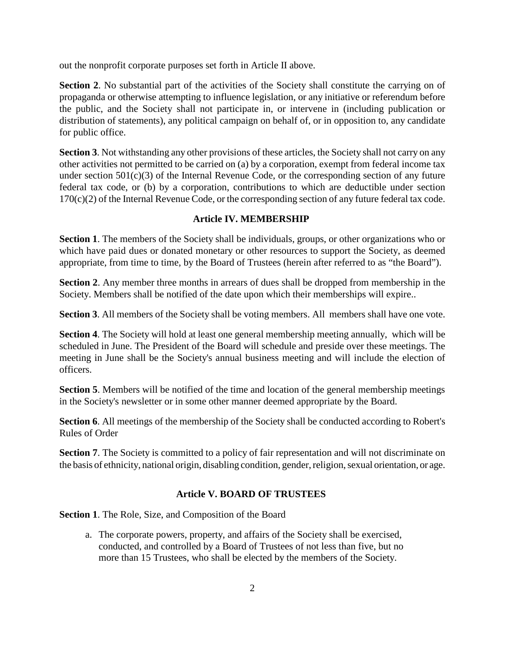out the nonprofit corporate purposes set forth in Article II above.

**Section 2.** No substantial part of the activities of the Society shall constitute the carrying on of propaganda or otherwise attempting to influence legislation, or any initiative or referendum before the public, and the Society shall not participate in, or intervene in (including publication or distribution of statements), any political campaign on behalf of, or in opposition to, any candidate for public office.

**Section 3**. Not withstanding any other provisions of these articles, the Society shall not carry on any other activities not permitted to be carried on (a) by a corporation, exempt from federal income tax under section 501(c)(3) of the Internal Revenue Code, or the corresponding section of any future federal tax code, or (b) by a corporation, contributions to which are deductible under section 170(c)(2) of the Internal Revenue Code, or the corresponding section of any future federal tax code.

## **Article IV. MEMBERSHIP**

**Section 1**. The members of the Society shall be individuals, groups, or other organizations who or which have paid dues or donated monetary or other resources to support the Society, as deemed appropriate, from time to time, by the Board of Trustees (herein after referred to as "the Board").

**Section 2**. Any member three months in arrears of dues shall be dropped from membership in the Society. Members shall be notified of the date upon which their memberships will expire..

**Section 3**. All members of the Society shall be voting members. All members shall have one vote.

**Section 4**. The Society will hold at least one general membership meeting annually, which will be scheduled in June. The President of the Board will schedule and preside over these meetings. The meeting in June shall be the Society's annual business meeting and will include the election of officers.

**Section 5**. Members will be notified of the time and location of the general membership meetings in the Society's newsletter or in some other manner deemed appropriate by the Board.

**Section 6.** All meetings of the membership of the Society shall be conducted according to Robert's Rules of Order

**Section 7.** The Society is committed to a policy of fair representation and will not discriminate on the basis of ethnicity, national origin, disabling condition, gender, religion, sexual orientation, or age.

# **Article V. BOARD OF TRUSTEES**

**Section 1**. The Role, Size, and Composition of the Board

a. The corporate powers, property, and affairs of the Society shall be exercised, conducted, and controlled by a Board of Trustees of not less than five, but no more than 15 Trustees, who shall be elected by the members of the Society.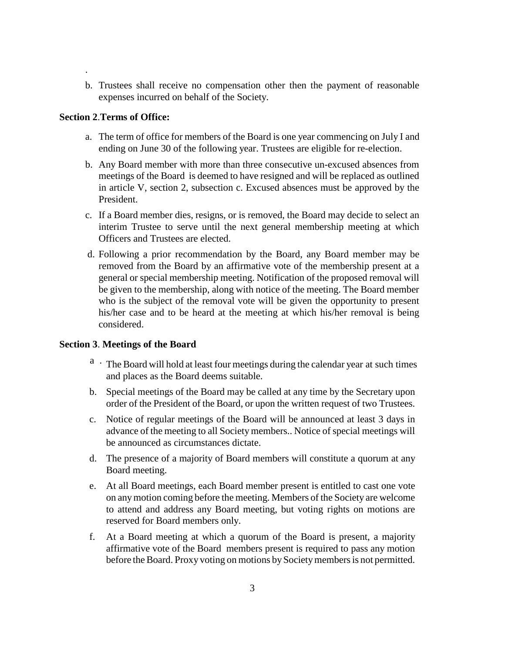b. Trustees shall receive no compensation other then the payment of reasonable expenses incurred on behalf of the Society.

#### **Section 2**.**Terms of Office:**

.

- a. The term of office for members of the Board is one year commencing on July I and ending on June 30 of the following year. Trustees are eligible for re-election.
- b. Any Board member with more than three consecutive un-excused absences from meetings of the Board is deemed to have resigned and will be replaced as outlined in article V, section 2, subsection c. Excused absences must be approved by the President.
- c. If a Board member dies, resigns, or is removed, the Board may decide to select an interim Trustee to serve until the next general membership meeting at which Officers and Trustees are elected.
- d. Following a prior recommendation by the Board, any Board member may be removed from the Board by an affirmative vote of the membership present at a general or special membership meeting. Notification of the proposed removal will be given to the membership, along with notice of the meeting. The Board member who is the subject of the removal vote will be given the opportunity to present his/her case and to be heard at the meeting at which his/her removal is being considered.

#### **Section 3**. **Meetings of the Board**

- a . The Board will hold at least four meetings during the calendar year at such times and places as the Board deems suitable.
- b. Special meetings of the Board may be called at any time by the Secretary upon order of the President of the Board, or upon the written request of two Trustees.
- c. Notice of regular meetings of the Board will be announced at least 3 days in advance of the meeting to all Society members.. Notice of special meetings will be announced as circumstances dictate.
- d. The presence of a majority of Board members will constitute a quorum at any Board meeting.
- e. At all Board meetings, each Board member present is entitled to cast one vote on any motion coming before the meeting. Members of the Society are welcome to attend and address any Board meeting, but voting rights on motions are reserved for Board members only.
- f. At a Board meeting at which a quorum of the Board is present, a majority affirmative vote of the Board members present is required to pass any motion before the Board. Proxy voting on motions by Society members is not permitted.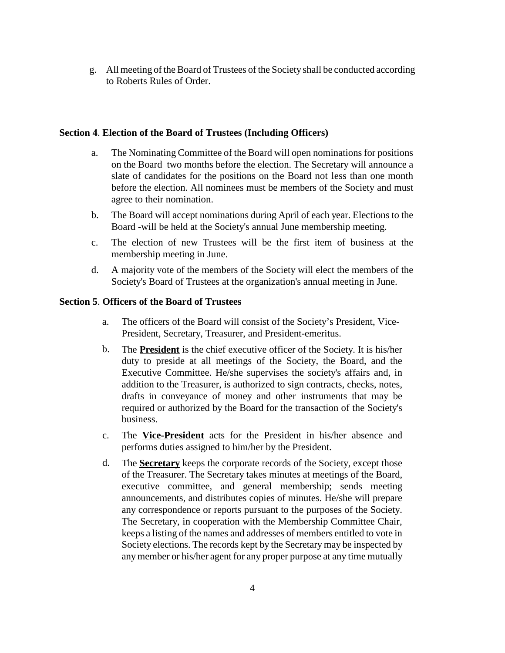g. All meeting of the Board of Trustees of the Society shall be conducted according to Roberts Rules of Order.

#### **Section 4**. **Election of the Board of Trustees (Including Officers)**

- a. The Nominating Committee of the Board will open nominations for positions on the Board two months before the election. The Secretary will announce a slate of candidates for the positions on the Board not less than one month before the election. All nominees must be members of the Society and must agree to their nomination.
- b. The Board will accept nominations during April of each year. Elections to the Board -will be held at the Society's annual June membership meeting.
- c. The election of new Trustees will be the first item of business at the membership meeting in June.
- d. A majority vote of the members of the Society will elect the members of the Society's Board of Trustees at the organization's annual meeting in June.

# **Section 5**. **Officers of the Board of Trustees**

- a. The officers of the Board will consist of the Society's President, Vice-President, Secretary, Treasurer, and President-emeritus.
- b. The **President** is the chief executive officer of the Society. It is his/her duty to preside at all meetings of the Society, the Board, and the Executive Committee. He/she supervises the society's affairs and, in addition to the Treasurer, is authorized to sign contracts, checks, notes, drafts in conveyance of money and other instruments that may be required or authorized by the Board for the transaction of the Society's business.
- c. The **Vice-President** acts for the President in his/her absence and performs duties assigned to him/her by the President.
- d. The **Secretary** keeps the corporate records of the Society, except those of the Treasurer. The Secretary takes minutes at meetings of the Board, executive committee, and general membership; sends meeting announcements, and distributes copies of minutes. He/she will prepare any correspondence or reports pursuant to the purposes of the Society. The Secretary, in cooperation with the Membership Committee Chair, keeps a listing of the names and addresses of members entitled to vote in Society elections. The records kept by the Secretary may be inspected by any member or his/her agent for any proper purpose at any time mutually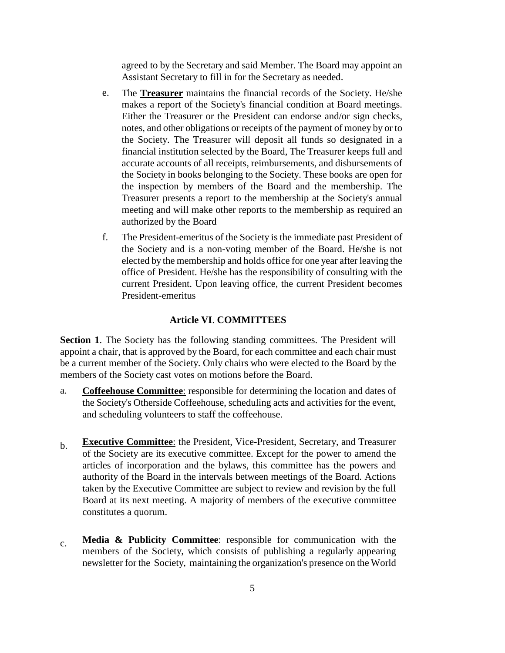agreed to by the Secretary and said Member. The Board may appoint an Assistant Secretary to fill in for the Secretary as needed.

- e. The **Treasurer** maintains the financial records of the Society. He/she makes a report of the Society's financial condition at Board meetings. Either the Treasurer or the President can endorse and/or sign checks, notes, and other obligations or receipts of the payment of money by or to the Society. The Treasurer will deposit all funds so designated in a financial institution selected by the Board, The Treasurer keeps full and accurate accounts of all receipts, reimbursements, and disbursements of the Society in books belonging to the Society. These books are open for the inspection by members of the Board and the membership. The Treasurer presents a report to the membership at the Society's annual meeting and will make other reports to the membership as required an authorized by the Board
- f. The President-emeritus of the Society is the immediate past President of the Society and is a non-voting member of the Board. He/she is not elected by the membership and holds office for one year after leaving the office of President. He/she has the responsibility of consulting with the current President. Upon leaving office, the current President becomes President-emeritus

#### **Article VI**. **COMMITTEES**

**Section 1**. The Society has the following standing committees. The President will appoint a chair, that is approved by the Board, for each committee and each chair must be a current member of the Society. Only chairs who were elected to the Board by the members of the Society cast votes on motions before the Board.

- a. **Coffeehouse Committee**: responsible for determining the location and dates of the Society's Otherside Coffeehouse, scheduling acts and activities for the event, and scheduling volunteers to staff the coffeehouse.
- b. **Executive Committee**: the President, Vice-President, Secretary, and Treasurer of the Society are its executive committee. Except for the power to amend the articles of incorporation and the bylaws, this committee has the powers and authority of the Board in the intervals between meetings of the Board. Actions taken by the Executive Committee are subject to review and revision by the full Board at its next meeting. A majority of members of the executive committee constitutes a quorum.
- c. **Media & Publicity Committee**: responsible for communication with the members of the Society, which consists of publishing a regularly appearing newsletter for the Society, maintaining the organization's presence on the World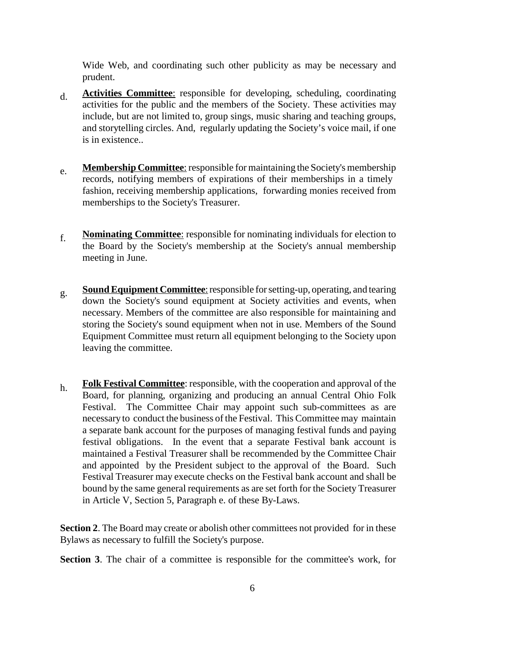Wide Web, and coordinating such other publicity as may be necessary and prudent.

- d. **Activities Committee**: responsible for developing, scheduling, coordinating activities for the public and the members of the Society. These activities may include, but are not limited to, group sings, music sharing and teaching groups, and storytelling circles. And, regularly updating the Society's voice mail, if one is in existence..
- e. **Membership Committee**: responsible for maintaining the Society's membership records, notifying members of expirations of their memberships in a timely fashion, receiving membership applications, forwarding monies received from memberships to the Society's Treasurer.
- f. **Nominating Committee**: responsible for nominating individuals for election to the Board by the Society's membership at the Society's annual membership meeting in June.
- g. **Sound Equipment Committee**: responsible for setting-up, operating, and tearing down the Society's sound equipment at Society activities and events, when necessary. Members of the committee are also responsible for maintaining and storing the Society's sound equipment when not in use. Members of the Sound Equipment Committee must return all equipment belonging to the Society upon leaving the committee.
- h. **Folk Festival Committee**: responsible, with the cooperation and approval of the Board, for planning, organizing and producing an annual Central Ohio Folk Festival. The Committee Chair may appoint such sub-committees as are necessary to conduct the business of the Festival. This Committee may maintain a separate bank account for the purposes of managing festival funds and paying festival obligations. In the event that a separate Festival bank account is maintained a Festival Treasurer shall be recommended by the Committee Chair and appointed by the President subject to the approval of the Board. Such Festival Treasurer may execute checks on the Festival bank account and shall be bound by the same general requirements as are set forth for the Society Treasurer in Article V, Section 5, Paragraph e. of these By-Laws.

**Section 2**. The Board may create or abolish other committees not provided for in these Bylaws as necessary to fulfill the Society's purpose.

**Section 3**. The chair of a committee is responsible for the committee's work, for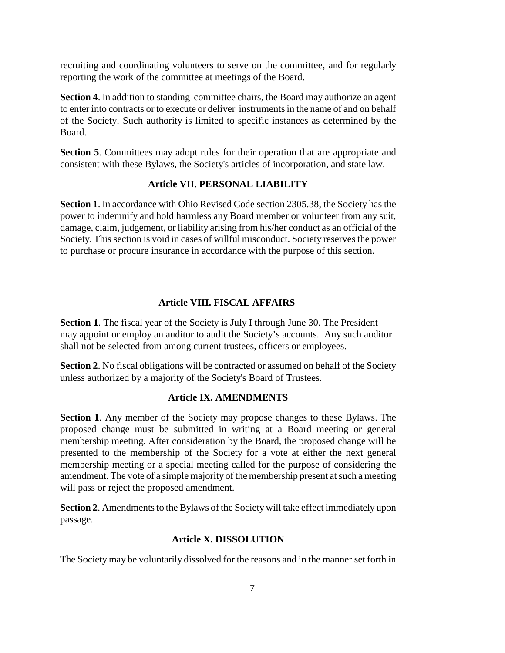recruiting and coordinating volunteers to serve on the committee, and for regularly reporting the work of the committee at meetings of the Board.

**Section 4**. In addition to standing committee chairs, the Board may authorize an agent to enter into contracts or to execute or deliver instruments in the name of and on behalf of the Society. Such authority is limited to specific instances as determined by the Board.

**Section 5**. Committees may adopt rules for their operation that are appropriate and consistent with these Bylaws, the Society's articles of incorporation, and state law.

# **Article VII**. **PERSONAL LIABILITY**

**Section 1**. In accordance with Ohio Revised Code section 2305.38, the Society has the power to indemnify and hold harmless any Board member or volunteer from any suit, damage, claim, judgement, or liability arising from his/her conduct as an official of the Society. This section is void in cases of willful misconduct. Society reserves the power to purchase or procure insurance in accordance with the purpose of this section.

# **Article VIII. FISCAL AFFAIRS**

**Section 1**. The fiscal year of the Society is July I through June 30. The President may appoint or employ an auditor to audit the Society's accounts. Any such auditor shall not be selected from among current trustees, officers or employees.

**Section 2.** No fiscal obligations will be contracted or assumed on behalf of the Society unless authorized by a majority of the Society's Board of Trustees.

## **Article IX. AMENDMENTS**

**Section 1**. Any member of the Society may propose changes to these Bylaws. The proposed change must be submitted in writing at a Board meeting or general membership meeting. After consideration by the Board, the proposed change will be presented to the membership of the Society for a vote at either the next general membership meeting or a special meeting called for the purpose of considering the amendment. The vote of a simple majority of the membership present at such a meeting will pass or reject the proposed amendment.

**Section 2**. Amendments to the Bylaws of the Society will take effect immediately upon passage.

## **Article X. DISSOLUTION**

The Society may be voluntarily dissolved for the reasons and in the manner set forth in